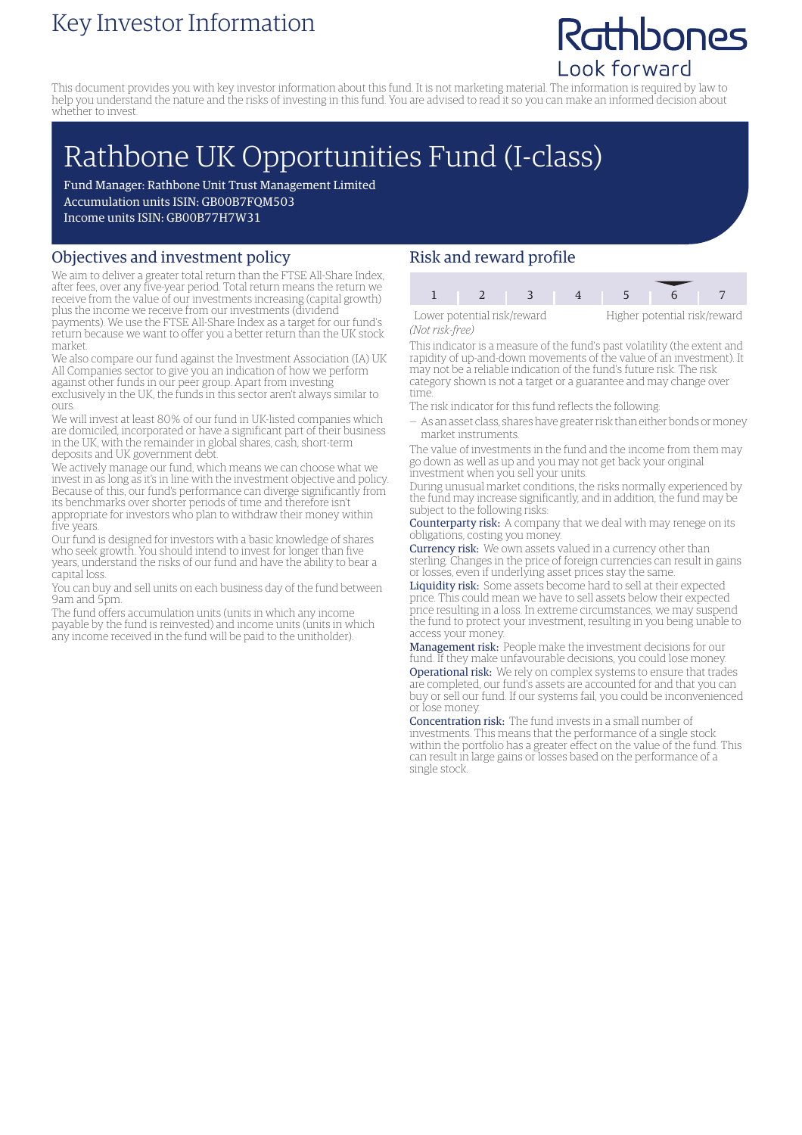### Key Investor Information

## Rathbones Look forward

This document provides you with key investor information about this fund. It is not marketing material. The information is required by law to help you understand the nature and the risks of investing in this fund. You are advised to read it so you can make an informed decision about whether to invest.

# Rathbone UK Opportunities Fund (I-class)

Fund Manager: Rathbone Unit Trust Management Limited Accumulation units ISIN: GB00B7FQM503 Income units ISIN: GB00B77H7W31

#### Objectives and investment policy

We aim to deliver a greater total return than the FTSE All-Share Index, after fees, over any five-year period. Total return means the return we receive from the value of our investments increasing (capital growth) plus the income we receive from our investments (dividend payments). We use the FTSE All-Share Index as a target for our fund's

return because we want to offer you a better return than the UK stock market.

We also compare our fund against the Investment Association (IA) UK All Companies sector to give you an indication of how we perform against other funds in our peer group. Apart from investing exclusively in the UK, the funds in this sector aren't always similar to ours.

We will invest at least 80% of our fund in UK-listed companies which are domiciled, incorporated or have a significant part of their business in the UK, with the remainder in global shares, cash, short-term deposits and UK government debt.

We actively manage our fund, which means we can choose what we invest in as long as it's in line with the investment objective and policy. Because of this, our fund's performance can diverge significantly from its benchmarks over shorter periods of time and therefore isn't appropriate for investors who plan to withdraw their money within five years.

Our fund is designed for investors with a basic knowledge of shares who seek growth. You should intend to invest for longer than five years, understand the risks of our fund and have the ability to bear a capital loss.

You can buy and sell units on each business day of the fund between 9am and 5pm.

The fund offers accumulation units (units in which any income payable by the fund is reinvested) and income units (units in which any income received in the fund will be paid to the unitholder).

#### Risk and reward profile

| Lower potential risk/reward |  |  | Higher potential risk/rew |  |  |
|-----------------------------|--|--|---------------------------|--|--|
| [Not work from]             |  |  |                           |  |  |

*(Not risk-free)*

Higher potential risk/reward

This indicator is a measure of the fund's past volatility (the extent and rapidity of up-and-down movements of the value of an investment). It may not be a reliable indication of the fund's future risk. The risk category shown is not a target or a guarantee and may change over time.

The risk indicator for this fund reflects the following:

— As an asset class, shares have greater risk than either bonds ormoney market instruments.

The value of investments in the fund and the income from them may go down as well as up and you may not get back your original investment when you sell your units.

During unusual market conditions, the risks normally experienced by the fund may increase significantly, and in addition, the fund may be subject to the following risks:

Counterparty risk: A company that we deal with may renege on its obligations, costing you money.

Currency risk: We own assets valued in a currency other than sterling. Changes in the price of foreign currencies can result in gains or losses, even if underlying asset prices stay the same.

Liquidity risk: Some assets become hard to sell at their expected price. This could mean we have to sell assets below their expected price resulting in a loss. In extreme circumstances, we may suspend the fund to protect your investment, resulting in you being unable to access your money.

Management risk: People make the investment decisions for our fund. If they make unfavourable decisions, you could lose money. Operational risk: We rely on complex systems to ensure that trades are completed, our fund's assets are accounted for and that you can buy or sell our fund. If our systems fail, you could be inconvenienced or lose money.

Concentration risk: The fund invests in a small number of investments. This means that the performance of a single stock within the portfolio has a greater effect on the value of the fund. This can result in large gains or losses based on the performance of a single stock.